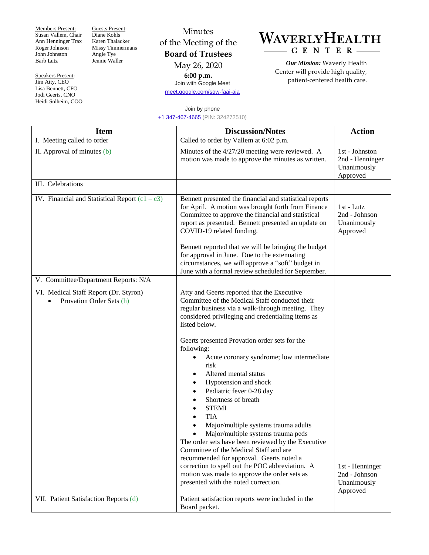Members Present: Susan Vallem, Chair Ann Henninger Trax Roger Johnson John Johnston Barb Lutz

Speakers Present: Jim Atty, CEO Lisa Bennett, CFO Jodi Geerts, CNO Heidi Solheim, COO Guests Present: Diane Kohls Karen Thalacker Missy Timmermans Angie Tye Jennie Waller

Minutes of the Meeting of the **Board of Trustees** May 26, 2020

**6:00 p.m.** Join with Google Meet [meet.google.com/sqw-faai-aja](https://meet.google.com/sqw-faai-aja)

## WAVERLYHEALTH  $-C E N T E R -$

*Our Mission:* Waverly Health Center will provide high quality, patient-centered health care.

## Join by phone [+1 347-467-4665](about:invalid#zSoyz) (PIN: 324272510)

| <b>Item</b>                                                       | <b>Discussion/Notes</b>                                                                                                                                                                                                                                                                                                                                                                                                                                                                                                                                                                                                                                                                                                                                                                                                                                                     | <b>Action</b>                                                |
|-------------------------------------------------------------------|-----------------------------------------------------------------------------------------------------------------------------------------------------------------------------------------------------------------------------------------------------------------------------------------------------------------------------------------------------------------------------------------------------------------------------------------------------------------------------------------------------------------------------------------------------------------------------------------------------------------------------------------------------------------------------------------------------------------------------------------------------------------------------------------------------------------------------------------------------------------------------|--------------------------------------------------------------|
| I. Meeting called to order                                        | Called to order by Vallem at 6:02 p.m.                                                                                                                                                                                                                                                                                                                                                                                                                                                                                                                                                                                                                                                                                                                                                                                                                                      |                                                              |
| II. Approval of minutes (b)                                       | Minutes of the 4/27/20 meeting were reviewed. A<br>motion was made to approve the minutes as written.                                                                                                                                                                                                                                                                                                                                                                                                                                                                                                                                                                                                                                                                                                                                                                       | 1st - Johnston<br>2nd - Henninger<br>Unanimously<br>Approved |
| III. Celebrations                                                 |                                                                                                                                                                                                                                                                                                                                                                                                                                                                                                                                                                                                                                                                                                                                                                                                                                                                             |                                                              |
| IV. Financial and Statistical Report $(c1 - c3)$                  | Bennett presented the financial and statistical reports<br>for April. A motion was brought forth from Finance<br>Committee to approve the financial and statistical<br>report as presented. Bennett presented an update on<br>COVID-19 related funding.<br>Bennett reported that we will be bringing the budget                                                                                                                                                                                                                                                                                                                                                                                                                                                                                                                                                             | 1st - Lutz<br>2nd - Johnson<br>Unanimously<br>Approved       |
|                                                                   | for approval in June. Due to the extenuating<br>circumstances, we will approve a "soft" budget in<br>June with a formal review scheduled for September.                                                                                                                                                                                                                                                                                                                                                                                                                                                                                                                                                                                                                                                                                                                     |                                                              |
| V. Committee/Department Reports: N/A                              |                                                                                                                                                                                                                                                                                                                                                                                                                                                                                                                                                                                                                                                                                                                                                                                                                                                                             |                                                              |
| VI. Medical Staff Report (Dr. Styron)<br>Provation Order Sets (h) | Atty and Geerts reported that the Executive<br>Committee of the Medical Staff conducted their<br>regular business via a walk-through meeting. They<br>considered privileging and credentialing items as<br>listed below.<br>Geerts presented Provation order sets for the<br>following:<br>Acute coronary syndrome; low intermediate<br>risk<br>Altered mental status<br>٠<br>Hypotension and shock<br>٠<br>Pediatric fever 0-28 day<br>Shortness of breath<br><b>STEMI</b><br><b>TIA</b><br>$\bullet$<br>Major/multiple systems trauma adults<br>Major/multiple systems trauma peds<br>The order sets have been reviewed by the Executive<br>Committee of the Medical Staff and are<br>recommended for approval. Geerts noted a<br>correction to spell out the POC abbreviation. A<br>motion was made to approve the order sets as<br>presented with the noted correction. | 1st - Henninger<br>2nd - Johnson<br>Unanimously<br>Approved  |
| VII. Patient Satisfaction Reports (d)                             | Patient satisfaction reports were included in the<br>Board packet.                                                                                                                                                                                                                                                                                                                                                                                                                                                                                                                                                                                                                                                                                                                                                                                                          |                                                              |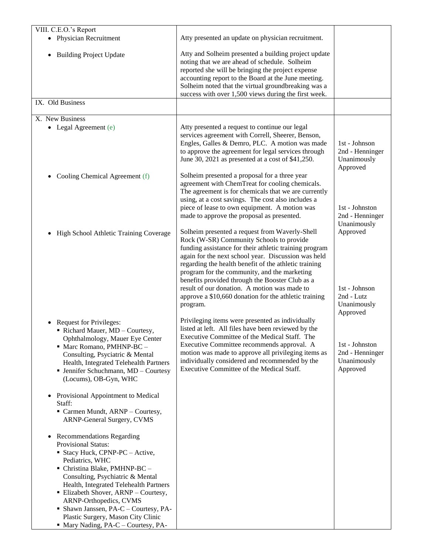| VIII. C.E.O.'s Report                                                                                                                                                                                                                                                                                                                                                                                                             |                                                                                                                                                                                                                                                                                                                                                                                                                                                                                              |                                                                    |
|-----------------------------------------------------------------------------------------------------------------------------------------------------------------------------------------------------------------------------------------------------------------------------------------------------------------------------------------------------------------------------------------------------------------------------------|----------------------------------------------------------------------------------------------------------------------------------------------------------------------------------------------------------------------------------------------------------------------------------------------------------------------------------------------------------------------------------------------------------------------------------------------------------------------------------------------|--------------------------------------------------------------------|
| • Physician Recruitment                                                                                                                                                                                                                                                                                                                                                                                                           | Atty presented an update on physician recruitment.                                                                                                                                                                                                                                                                                                                                                                                                                                           |                                                                    |
| <b>Building Project Update</b><br>٠                                                                                                                                                                                                                                                                                                                                                                                               | Atty and Solheim presented a building project update<br>noting that we are ahead of schedule. Solheim<br>reported she will be bringing the project expense<br>accounting report to the Board at the June meeting.<br>Solheim noted that the virtual groundbreaking was a<br>success with over 1,500 views during the first week.                                                                                                                                                             |                                                                    |
| IX. Old Business                                                                                                                                                                                                                                                                                                                                                                                                                  |                                                                                                                                                                                                                                                                                                                                                                                                                                                                                              |                                                                    |
| X. New Business                                                                                                                                                                                                                                                                                                                                                                                                                   |                                                                                                                                                                                                                                                                                                                                                                                                                                                                                              |                                                                    |
| • Legal Agreement (e)                                                                                                                                                                                                                                                                                                                                                                                                             | Atty presented a request to continue our legal<br>services agreement with Correll, Sheerer, Benson,<br>Engles, Galles & Demro, PLC. A motion was made<br>to approve the agreement for legal services through<br>June 30, 2021 as presented at a cost of \$41,250.                                                                                                                                                                                                                            | 1st - Johnson<br>2nd - Henninger<br>Unanimously<br>Approved        |
| Cooling Chemical Agreement (f)<br>٠                                                                                                                                                                                                                                                                                                                                                                                               | Solheim presented a proposal for a three year<br>agreement with ChemTreat for cooling chemicals.<br>The agreement is for chemicals that we are currently<br>using, at a cost savings. The cost also includes a<br>piece of lease to own equipment. A motion was<br>made to approve the proposal as presented.                                                                                                                                                                                | 1st - Johnston<br>2nd - Henninger<br>Unanimously                   |
| High School Athletic Training Coverage                                                                                                                                                                                                                                                                                                                                                                                            | Solheim presented a request from Waverly-Shell<br>Rock (W-SR) Community Schools to provide<br>funding assistance for their athletic training program<br>again for the next school year. Discussion was held<br>regarding the health benefit of the athletic training<br>program for the community, and the marketing<br>benefits provided through the Booster Club as a<br>result of our donation. A motion was made to<br>approve a \$10,660 donation for the athletic training<br>program. | Approved<br>1st - Johnson<br>2nd - Lutz<br>Unanimously<br>Approved |
| <b>Request for Privileges:</b><br>Richard Mauer, MD - Courtesy,<br>Ophthalmology, Mauer Eye Center<br>• Marc Romano, PMHNP-BC -<br>Consulting, Psyciatric & Mental<br>Health, Integrated Telehealth Partners<br>• Jennifer Schuchmann, MD - Courtesy<br>(Locums), OB-Gyn, WHC<br>Provisional Appointment to Medical<br>$\bullet$<br>Staff:<br>Carmen Mundt, ARNP - Courtesy,<br>ARNP-General Surgery, CVMS                        | Privileging items were presented as individually<br>listed at left. All files have been reviewed by the<br>Executive Committee of the Medical Staff. The<br>Executive Committee recommends approval. A<br>motion was made to approve all privileging items as<br>individually considered and recommended by the<br>Executive Committee of the Medical Staff.                                                                                                                                 | 1st - Johnston<br>2nd - Henninger<br>Unanimously<br>Approved       |
| <b>Recommendations Regarding</b><br>$\bullet$<br>Provisional Status:<br>• Stacy Huck, CPNP-PC - Active,<br>Pediatrics, WHC<br>• Christina Blake, PMHNP-BC -<br>Consulting, Psychiatric & Mental<br>Health, Integrated Telehealth Partners<br>• Elizabeth Shover, ARNP – Courtesy,<br>ARNP-Orthopedics, CVMS<br>• Shawn Janssen, PA-C - Courtesy, PA-<br>Plastic Surgery, Mason City Clinic<br>• Mary Nading, PA-C – Courtesy, PA- |                                                                                                                                                                                                                                                                                                                                                                                                                                                                                              |                                                                    |